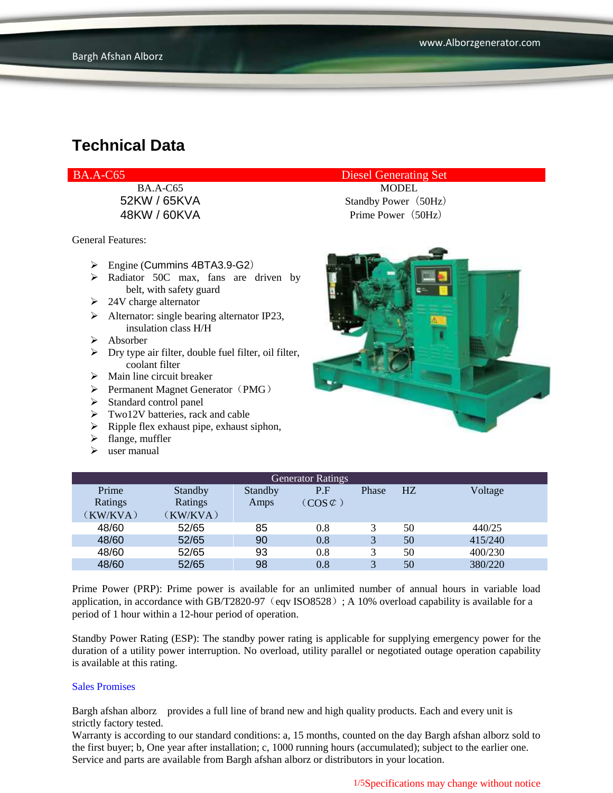BA.A-C65 MODEL

General Features:

- $\triangleright$  Engine (Cummins 4BTA3.9-G2)
- $\triangleright$  Radiator 50C max, fans are driven by belt, with safety guard
- $\geq$  24V charge alternator
- $\triangleright$  Alternator: single bearing alternator IP23, insulation class H/H
- $\triangleright$  Absorber
- $\triangleright$  Dry type air filter, double fuel filter, oil filter, coolant filter
- $\triangleright$  Main line circuit breaker
- $\triangleright$  Permanent Magnet Generator (PMG)
- $\triangleright$  Standard control panel
- $\triangleright$  Two12V batteries, rack and cable
- $\triangleright$  Ripple flex exhaust pipe, exhaust siphon,
- $\blacktriangleright$  flange, muffler
- $\triangleright$  user manual

#### BA.A-C65 Diesel Generating Set

52KW / 65KVA Standby Power (50Hz) 48KW / 60KVA Prime Power(50Hz)



| <b>Generator Ratings</b> |                |                |                     |       |    |         |
|--------------------------|----------------|----------------|---------------------|-------|----|---------|
| Prime                    | <b>Standby</b> | <b>Standby</b> | P.F                 | Phase | HZ | Voltage |
| Ratings                  | Ratings        | Amps           | $(COS \mathcal{L})$ |       |    |         |
| (KW/KVA)                 | (KW/KVA)       |                |                     |       |    |         |
| 48/60                    | 52/65          | 85             | 0.8                 |       | 50 | 440/25  |
| 48/60                    | 52/65          | 90             | 0.8                 |       | 50 | 415/240 |
| 48/60                    | 52/65          | 93             | 0.8                 |       | 50 | 400/230 |
| 48/60                    | 52/65          | 98             | 0.8                 |       | 50 | 380/220 |

Prime Power (PRP): Prime power is available for an unlimited number of annual hours in variable load application, in accordance with GB/T2820-97 (eqv ISO8528); A 10% overload capability is available for a period of 1 hour within a 12-hour period of operation.

Standby Power Rating (ESP): The standby power rating is applicable for supplying emergency power for the duration of a utility power interruption. No overload, utility parallel or negotiated outage operation capability is available at this rating.

#### Sales Promises

Bargh afshan alborz provides a full line of brand new and high quality products. Each and every unit is strictly factory tested.

Warranty is according to our standard conditions: a, 15 months, counted on the day Bargh afshan alborz sold to the first buyer; b, One year after installation; c, 1000 running hours (accumulated); subject to the earlier one. Service and parts are available from Bargh afshan alborz or distributors in your location.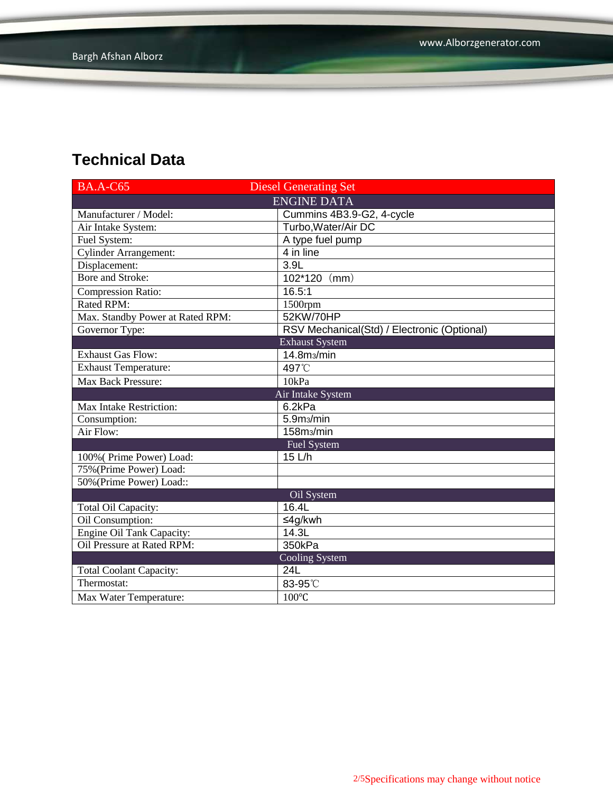| <b>BA.A-C65</b><br><b>Diesel Generating Set</b> |                                             |  |  |  |
|-------------------------------------------------|---------------------------------------------|--|--|--|
|                                                 | <b>ENGINE DATA</b>                          |  |  |  |
| Manufacturer / Model:                           | Cummins 4B3.9-G2, 4-cycle                   |  |  |  |
| Air Intake System:                              | Turbo, Water/Air DC                         |  |  |  |
| Fuel System:                                    | A type fuel pump                            |  |  |  |
| <b>Cylinder Arrangement:</b>                    | 4 in line                                   |  |  |  |
| Displacement:                                   | 3.9L                                        |  |  |  |
| <b>Bore and Stroke:</b>                         | 102*120 (mm)                                |  |  |  |
| <b>Compression Ratio:</b>                       | 16.5:1                                      |  |  |  |
| Rated RPM:                                      | 1500rpm                                     |  |  |  |
| Max. Standby Power at Rated RPM:                | 52KW/70HP                                   |  |  |  |
| Governor Type:                                  | RSV Mechanical(Std) / Electronic (Optional) |  |  |  |
|                                                 | <b>Exhaust System</b>                       |  |  |  |
| <b>Exhaust Gas Flow:</b>                        | 14.8m <sub>3</sub> /min                     |  |  |  |
| <b>Exhaust Temperature:</b>                     | 497°C                                       |  |  |  |
| <b>Max Back Pressure:</b>                       | 10kPa                                       |  |  |  |
| Air Intake System                               |                                             |  |  |  |
| Max Intake Restriction:                         | 6.2kPa                                      |  |  |  |
| Consumption:                                    | 5.9m <sub>3</sub> /min                      |  |  |  |
| Air Flow:                                       | 158m <sub>3</sub> /min                      |  |  |  |
| <b>Fuel System</b>                              |                                             |  |  |  |
| 100% (Prime Power) Load:                        | 15 L/h                                      |  |  |  |
| 75% (Prime Power) Load:                         |                                             |  |  |  |
| 50% (Prime Power) Load::                        |                                             |  |  |  |
|                                                 | Oil System                                  |  |  |  |
| Total Oil Capacity:                             | 16.4L                                       |  |  |  |
| Oil Consumption:                                | ≤4g/kwh                                     |  |  |  |
| <b>Engine Oil Tank Capacity:</b>                | 14.3L                                       |  |  |  |
| Oil Pressure at Rated RPM:                      | 350kPa                                      |  |  |  |
|                                                 | <b>Cooling System</b>                       |  |  |  |
| <b>Total Coolant Capacity:</b>                  | 24L                                         |  |  |  |
| Thermostat:                                     | 83-95°C                                     |  |  |  |
| Max Water Temperature:                          | 100°C                                       |  |  |  |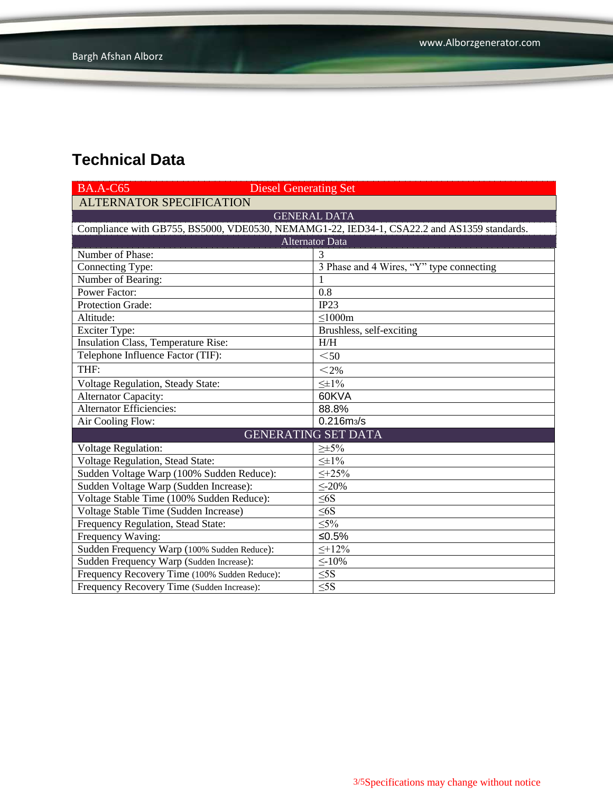| <b>BA.A-C65</b><br><b>Diesel Generating Set</b>                                            |                                          |  |  |  |  |
|--------------------------------------------------------------------------------------------|------------------------------------------|--|--|--|--|
| <b>ALTERNATOR SPECIFICATION</b>                                                            |                                          |  |  |  |  |
| <b>GENERAL DATA</b>                                                                        |                                          |  |  |  |  |
| Compliance with GB755, BS5000, VDE0530, NEMAMG1-22, IED34-1, CSA22.2 and AS1359 standards. |                                          |  |  |  |  |
| <b>Alternator Data</b>                                                                     |                                          |  |  |  |  |
| Number of Phase:                                                                           | 3                                        |  |  |  |  |
| Connecting Type:                                                                           | 3 Phase and 4 Wires, "Y" type connecting |  |  |  |  |
| Number of Bearing:                                                                         |                                          |  |  |  |  |
| <b>Power Factor:</b>                                                                       | 0.8                                      |  |  |  |  |
| Protection Grade:                                                                          | IP23                                     |  |  |  |  |
| Altitude:                                                                                  | $\leq$ 1000m                             |  |  |  |  |
| Exciter Type:                                                                              | Brushless, self-exciting                 |  |  |  |  |
| Insulation Class, Temperature Rise:                                                        | H/H                                      |  |  |  |  |
| Telephone Influence Factor (TIF):                                                          | $50$                                     |  |  |  |  |
| THF:                                                                                       | $<$ 2%                                   |  |  |  |  |
| <b>Voltage Regulation, Steady State:</b>                                                   | $\leq \pm 1\%$                           |  |  |  |  |
| <b>Alternator Capacity:</b>                                                                | 60KVA                                    |  |  |  |  |
| <b>Alternator Efficiencies:</b>                                                            | 88.8%                                    |  |  |  |  |
| Air Cooling Flow:                                                                          | 0.216m <sub>3</sub> /s                   |  |  |  |  |
|                                                                                            | <b>GENERATING SET DATA</b>               |  |  |  |  |
| <b>Voltage Regulation:</b>                                                                 | $\geq \pm 5\%$                           |  |  |  |  |
| Voltage Regulation, Stead State:                                                           | $\leq \pm 1\%$                           |  |  |  |  |
| Sudden Voltage Warp (100% Sudden Reduce):                                                  | $\leq +25\%$                             |  |  |  |  |
| Sudden Voltage Warp (Sudden Increase):                                                     | $\leq$ -20%                              |  |  |  |  |
| Voltage Stable Time (100% Sudden Reduce):                                                  | $\leq 6S$                                |  |  |  |  |
| Voltage Stable Time (Sudden Increase)                                                      | $\leq 6S$                                |  |  |  |  |
| Frequency Regulation, Stead State:                                                         | $\leq 5\%$                               |  |  |  |  |
| Frequency Waving:                                                                          | ≤ $0.5%$                                 |  |  |  |  |
| Sudden Frequency Warp (100% Sudden Reduce):                                                | $\leq +12\%$                             |  |  |  |  |
| Sudden Frequency Warp (Sudden Increase):                                                   | $\leq$ -10%                              |  |  |  |  |
| Frequency Recovery Time (100% Sudden Reduce):                                              | $\leq$ 5S                                |  |  |  |  |
| Frequency Recovery Time (Sudden Increase):                                                 | $\leq$ 5S                                |  |  |  |  |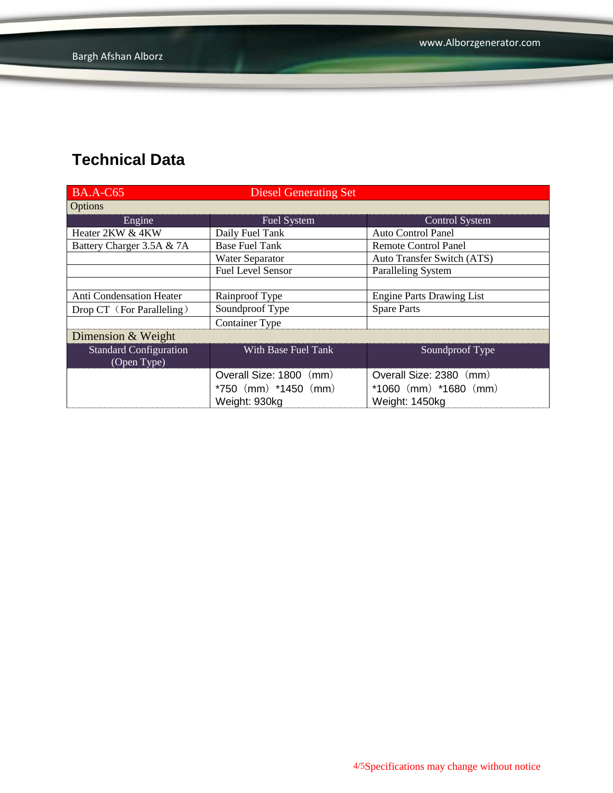| <b>BA.A-C65</b>                              | <b>Diesel Generating Set</b>                                         |                                                                        |  |  |
|----------------------------------------------|----------------------------------------------------------------------|------------------------------------------------------------------------|--|--|
| <b>Options</b>                               |                                                                      |                                                                        |  |  |
| Engine                                       | <b>Fuel System</b>                                                   | <b>Control System</b>                                                  |  |  |
| Heater 2KW & 4KW                             | Daily Fuel Tank                                                      | <b>Auto Control Panel</b>                                              |  |  |
| Battery Charger 3.5A & 7A                    | <b>Base Fuel Tank</b>                                                | <b>Remote Control Panel</b>                                            |  |  |
|                                              | <b>Water Separator</b>                                               | Auto Transfer Switch (ATS)                                             |  |  |
|                                              | <b>Fuel Level Sensor</b>                                             | <b>Paralleling System</b>                                              |  |  |
|                                              |                                                                      |                                                                        |  |  |
| Anti Condensation Heater                     | Rainproof Type                                                       | <b>Engine Parts Drawing List</b>                                       |  |  |
| Drop CT (For Paralleling)                    | Soundproof Type                                                      | <b>Spare Parts</b>                                                     |  |  |
|                                              | <b>Container Type</b>                                                |                                                                        |  |  |
| Dimension & Weight                           |                                                                      |                                                                        |  |  |
| <b>Standard Configuration</b><br>(Open Type) | <b>With Base Fuel Tank</b>                                           | Soundproof Type                                                        |  |  |
|                                              | Overall Size: 1800 (mm)<br>$*750$ (mm) $*1450$ (mm)<br>Weight: 930kg | Overall Size: 2380 (mm)<br>$*1060$ (mm) $*1680$ (mm)<br>Weight: 1450kg |  |  |